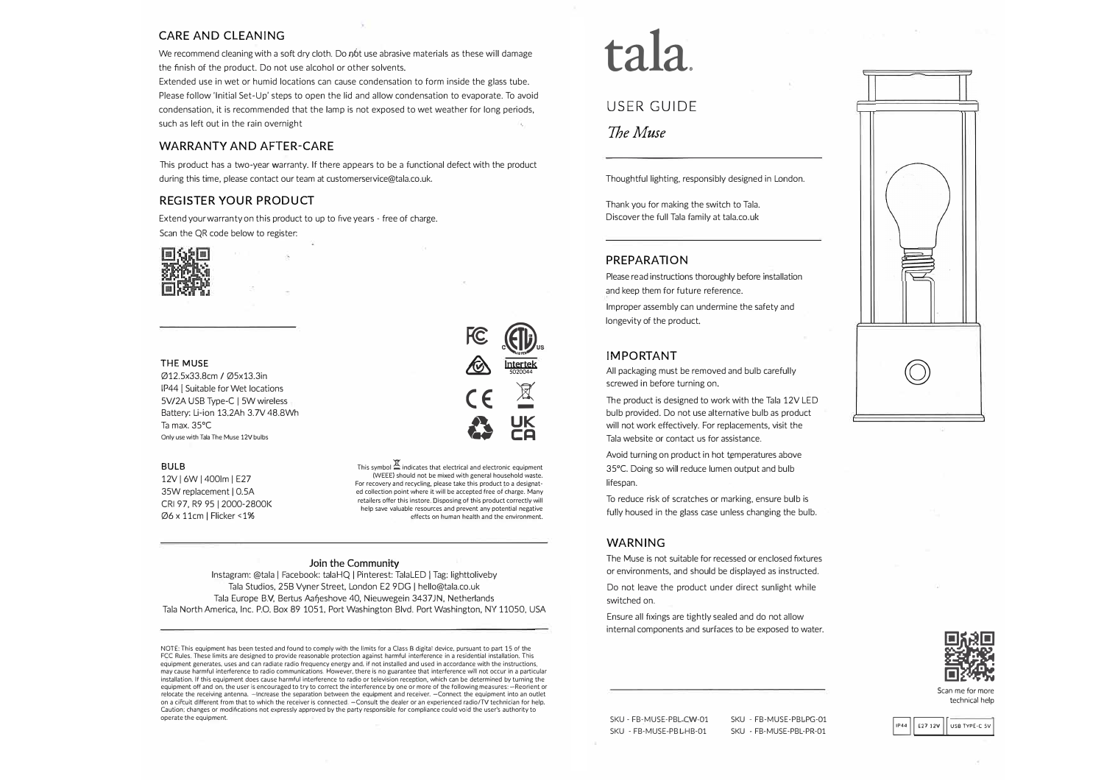# **CARE AND CLEANING**

We recommend cleaning with a soft dry cloth. Do n6t use abrasive materials as these will damage the finish of the product. Do not use alcohol or other solvents.

Extended use in wet or humid locations can cause condensation to form inside the glass tube. Please follow 'Initial Set-Up' steps to open the lid and allow condensation to evaporate. To avoid condensation, it is recommended that the lamp is not exposed to wet weather for long periods, such as left out in the rain overnight

### **WARRANTY AND AFTER-CARE**

This product has a two-year warranty. lf there appears to be a functional defect with the product during this time, please contact our team at customerservice@tala.co.uk.

# **REGISTER YOUR PRODUCT**

Extend your warranty on this product to up to five years - free of charge. Scan the QR code below to register:



### THE **MUSE**

012.5x33.8cm / 05x13.3in IP44 [ Suitable for Wet locations 5V/2A USB Type-C | 5W wireless Battery: Li-ion 13.2Ah 3.7V 48.BWh Ta max. 35°C Only use with Tala The Muse 12V bulbs

### **BULB**

12V [ 6W [ 400lm [ E27 35W replacement I O.SA CRI 97, R9 95 [ 2000-2800K 06 x 11cm I Flicker <1%

# $\sum_{\alpha}$ **A lntertek** 5020044 **CE**  $\frac{1}{2}$ **23** <del>UK</del><br>CA

This symbol  $\mathbb E$  indicates that electrical and electronic equipment (WEEE) should not be mixed with general household waste. For recovery and recycling, please take this product to a designated collection point where it will be accepted free of charge. Many retailers offer this instore. Oisposing of this product correctly will help save valuable resources and prevent any potential negative effects an human health and the environment.

### Join the Community

lnstagram: @tala I Facebook: talaHQ I Pinterest: TalaLED [ Tag: lighttoliveby Tala Studios, 258 Vyner Street, London E2 90G I hello@tala.co.uk Tala Europe B.V. Bertus Aafieshove 40, Nieuwegein 3437JN, Netherlands Tala North America, lnc. P.O. Box 89 1051. Port Washington Blvd. Port Washington, NY 11050, USA

NOTE: This equipment has been tested and found to comply with the limits for a Class B digital device, pursuant to part 15 of the FCC Rules. These limits are designed to provide reasonable protection against harmful interference in a residential installation. This equipment generates, uses and can radiate radio frequency energy and, if not installed and used in accordance with the instructions. may cause harmful interference to radio communications. However, there is no guarantee that interference will not occur in a particular installation. lf this equipment does cause harmful interference to radio or television reception, which can be determined by turning the equipment off and on. the user is encouraged to try to correct the interference by one or more of the following measures: -Reorient or relocate the receiving antenna. -lncrease the separation between the equipment and receiver. -Connect the equipment into an outlet on a ciFcuit different from that to which the receiver is connected. -Consult the dealer or an experienced radio/TV technician for help. Caution; changes or modiftcations not expressly approved by the party responsible for compliance could void the user's authority to operate the equipment.

**tala.**

# USER GUIDE

# *7heMuse*

Thoughtful lighting, responsibly designed in London.

Thank you for making the switch to Tala. Discover the full Tala family at tala.co.uk

### **PREPARATION**

Please read instructions thoroughly before installation and keep them for future reference.

lmproper assembly can undermine the safety and longevity of the product.

## **IMPORTANT**

All packaging must be removed and bulb carefully screwed in before turning on.

The product is designed to work with the Tala 12V LED bulb provided. Do not use alternative bulb as product will not work effectively. For replacements, visit the Tala website or contact us for assistance.

Avoid turning on product in hot temperatures above 35°C. Doing so will reduce lumen output and bulb lifespan.

To reduce risk of scratches or marking, ensure bulb is fully housed in the glass case unless changing the bulb.

### **WARNING**

The Muse is not suitable for recessed or enclosed fixtures or environments, and should be displayed as instructed.

Do not leave the product under direct sunlight while switched on.

Ensure all fixings are tightly sealed and do not allow internal components and surfaces to be exposed to water.





Scan me for more technical help

IP44 E27 12V USB TYPE-C SV

SKU - FB-MUSE-PBL-CW-01 SKU - FB-MUSE-PBL-HB-01

SKU - FB-MUSE-PBL-PR-01

SKU - FB-MUSE-PBL-PG-01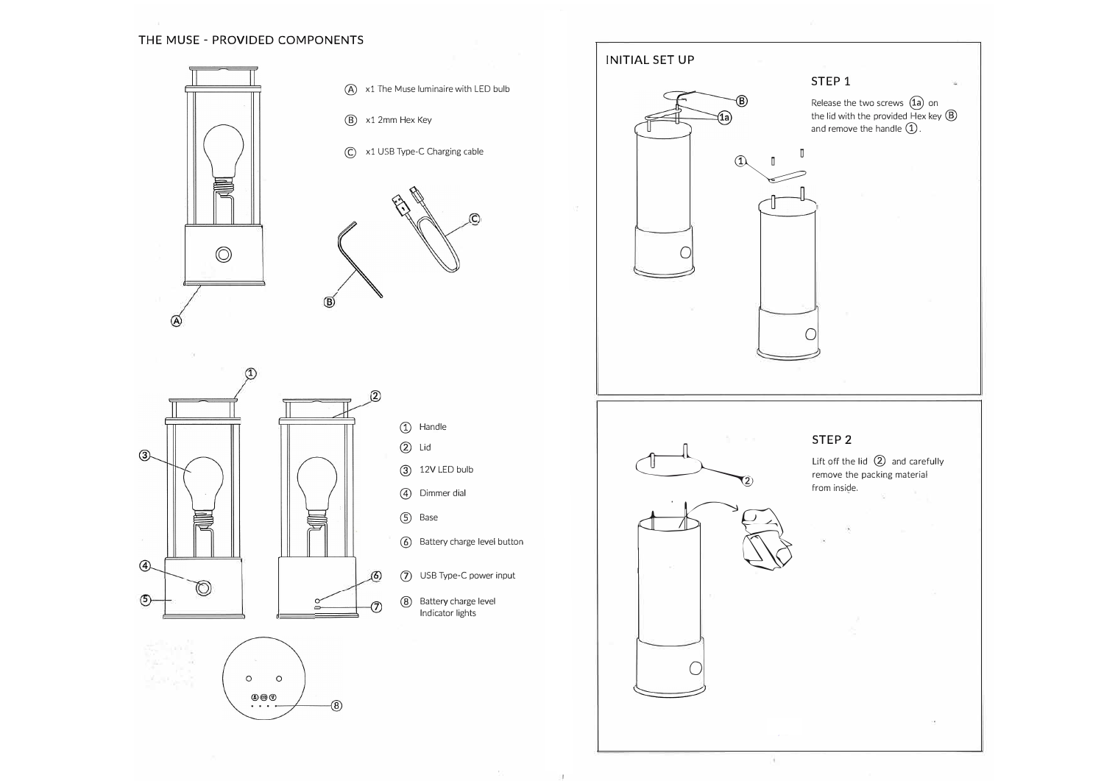# **THE MUSE - PROVIDED COMPONENTS**





and the state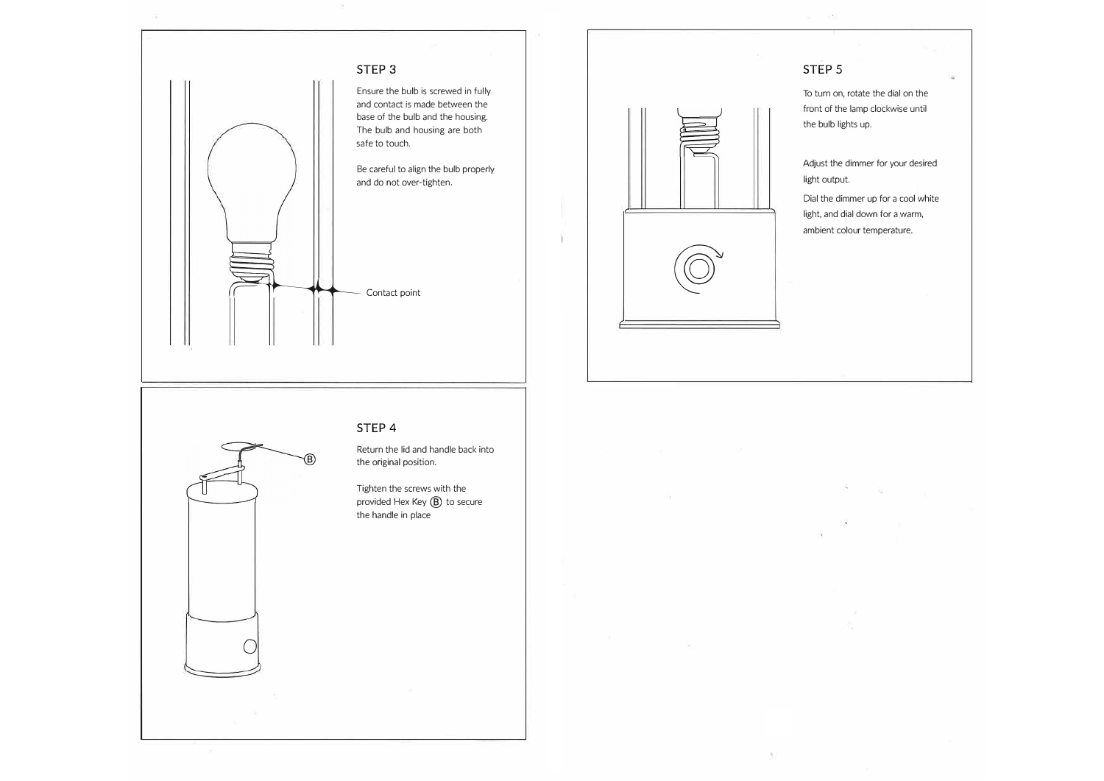



jl

# **STEP 5**

To turn on, rotate the dial on the front of the lamp clockwise until the bulb lights up.

Adjust the dimmer for your desired light output.

Dial the dimmer up for a cool white light, and dial down for a warm, ambient colour temperature.

# $\bigcirc$

# **STEP 4**

Return the lid and handle back into @ the original position.

> Tighten the screws with the provided Hex Key  $(B)$  to secure the handle in place